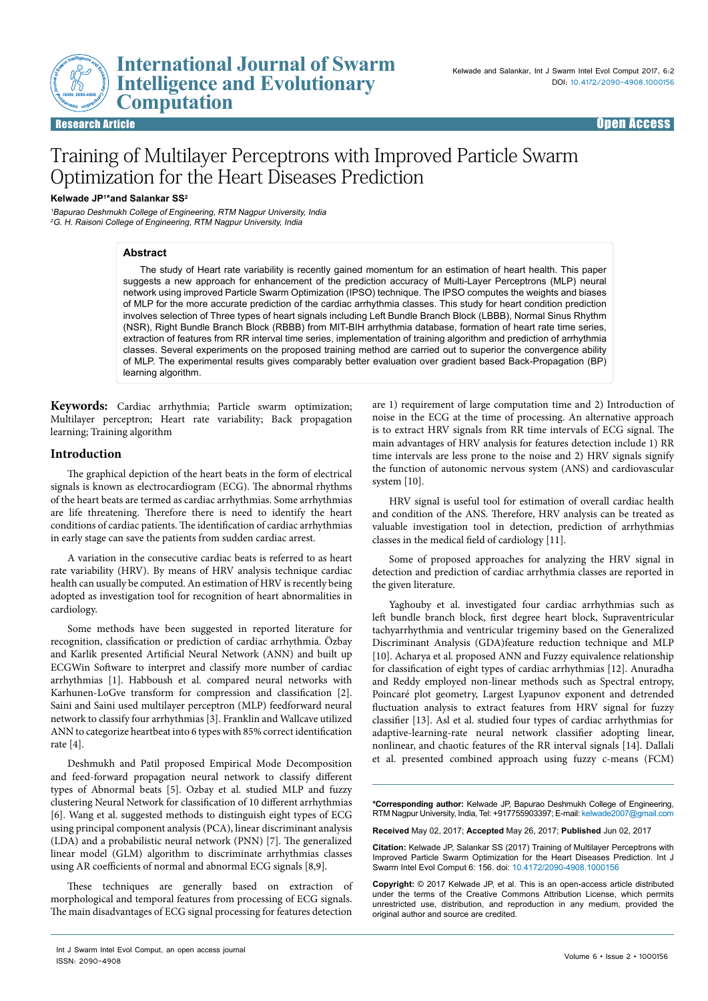## **International Journal of Swarm Intelligence and Evolutionary Example 12 International**<br> **Example 13 Intelligence a**<br> **Computation ISSN: 2090-4908**

# Training of Multilayer Perceptrons with Improved Particle Swarm Optimization for the Heart Diseases Prediction

### **Kelwade JP1\*and Salankar SS2**

1Bapurao Deshmukh College of Engineering, RTM Nagpur University, India <sup>2</sup>G. H. Raisoni College of Engineering, RTM Nagpur University, India

## **Abstract**

The study of Heart rate variability is recently gained momentum for an estimation of heart health. This paper suggests a new approach for enhancement of the prediction accuracy of Multi-Layer Perceptrons (MLP) neural network using improved Particle Swarm Optimization (IPSO) technique. The IPSO computes the weights and biases of MLP for the more accurate prediction of the cardiac arrhythmia classes. This study for heart condition prediction involves selection of Three types of heart signals including Left Bundle Branch Block (LBBB), Normal Sinus Rhythm (NSR), Right Bundle Branch Block (RBBB) from MIT-BIH arrhythmia database, formation of heart rate time series, extraction of features from RR interval time series, implementation of training algorithm and prediction of arrhythmia classes. Several experiments on the proposed training method are carried out to superior the convergence ability of MLP. The experimental results gives comparably better evaluation over gradient based Back-Propagation (BP) learning algorithm.

**Keywords:** Cardiac arrhythmia; Particle swarm optimization; Multilayer perceptron; Heart rate variability; Back propagation learning; Training algorithm

## **Introduction**

The graphical depiction of the heart beats in the form of electrical signals is known as electrocardiogram (ECG). The abnormal rhythms of the heart beats are termed as cardiac arrhythmias. Some arrhythmias are life threatening. Therefore there is need to identify the heart conditions of cardiac patients. The identification of cardiac arrhythmias in early stage can save the patients from sudden cardiac arrest.

A variation in the consecutive cardiac beats is referred to as heart rate variability (HRV). By means of HRV analysis technique cardiac health can usually be computed. An estimation of HRV is recently being adopted as investigation tool for recognition of heart abnormalities in cardiology.

Some methods have been suggested in reported literature for recognition, classification or prediction of cardiac arrhythmia. Özbay and Karlik presented Artificial Neural Network (ANN) and built up ECGWin Software to interpret and classify more number of cardiac arrhythmias [1]. Habboush et al. compared neural networks with Karhunen-LoGve transform for compression and classification [2]. Saini and Saini used multilayer perceptron (MLP) feedforward neural network to classify four arrhythmias [3]. Franklin and Wallcave utilized ANN to categorize heartbeat into 6 types with 85% correct identification rate [4].

Deshmukh and Patil proposed Empirical Mode Decomposition and feed-forward propagation neural network to classify different types of Abnormal beats [5]. Ozbay et al. studied MLP and fuzzy clustering Neural Network for classification of 10 different arrhythmias [6]. Wang et al. suggested methods to distinguish eight types of ECG using principal component analysis (PCA), linear discriminant analysis (LDA) and a probabilistic neural network (PNN) [7]. The generalized linear model (GLM) algorithm to discriminate arrhythmias classes using AR coefficients of normal and abnormal ECG signals [8,9].

These techniques are generally based on extraction of morphological and temporal features from processing of ECG signals. The main disadvantages of ECG signal processing for features detection are 1) requirement of large computation time and 2) Introduction of noise in the ECG at the time of processing. An alternative approach is to extract HRV signals from RR time intervals of ECG signal. The main advantages of HRV analysis for features detection include 1) RR time intervals are less prone to the noise and 2) HRV signals signify the function of autonomic nervous system (ANS) and cardiovascular system [10].

HRV signal is useful tool for estimation of overall cardiac health and condition of the ANS. Therefore, HRV analysis can be treated as valuable investigation tool in detection, prediction of arrhythmias classes in the medical field of cardiology [11].

Some of proposed approaches for analyzing the HRV signal in detection and prediction of cardiac arrhythmia classes are reported in the given literature.

Yaghouby et al. investigated four cardiac arrhythmias such as left bundle branch block, first degree heart block, Supraventricular tachyarrhythmia and ventricular trigeminy based on the Generalized Discriminant Analysis (GDA)feature reduction technique and MLP [10]. Acharya et al. proposed ANN and Fuzzy equivalence relationship for classification of eight types of cardiac arrhythmias [12]. Anuradha and Reddy employed non-linear methods such as Spectral entropy, Poincaré plot geometry, Largest Lyapunov exponent and detrended fluctuation analysis to extract features from HRV signal for fuzzy classifier [13]. Asl et al. studied four types of cardiac arrhythmias for adaptive-learning-rate neural network classifier adopting linear, nonlinear, and chaotic features of the RR interval signals [14]. Dallali et al. presented combined approach using fuzzy c-means (FCM)

**\*Corresponding author:** Kelwade JP, Bapurao Deshmukh College of Engineering, RTM Nagpur University, India, Tel: +917755903397; E-mail: kelwade2007@gmail.com

**Received** May 02, 2017; **Accepted** May 26, 2017; **Published** Jun 02, 2017

**Citation:** Kelwade JP, Salankar SS (2017) Training of Multilayer Perceptrons with Improved Particle Swarm Optimization for the Heart Diseases Prediction. Int J Swarm Intel Evol Comput 6: 156. doi: 10.4172/2090-4908.1000156

**Copyright:** © 2017 Kelwade JP, et al. This is an open-access article distributed under the terms of the Creative Commons Attribution License, which permits unrestricted use, distribution, and reproduction in any medium, provided the original author and source are credited.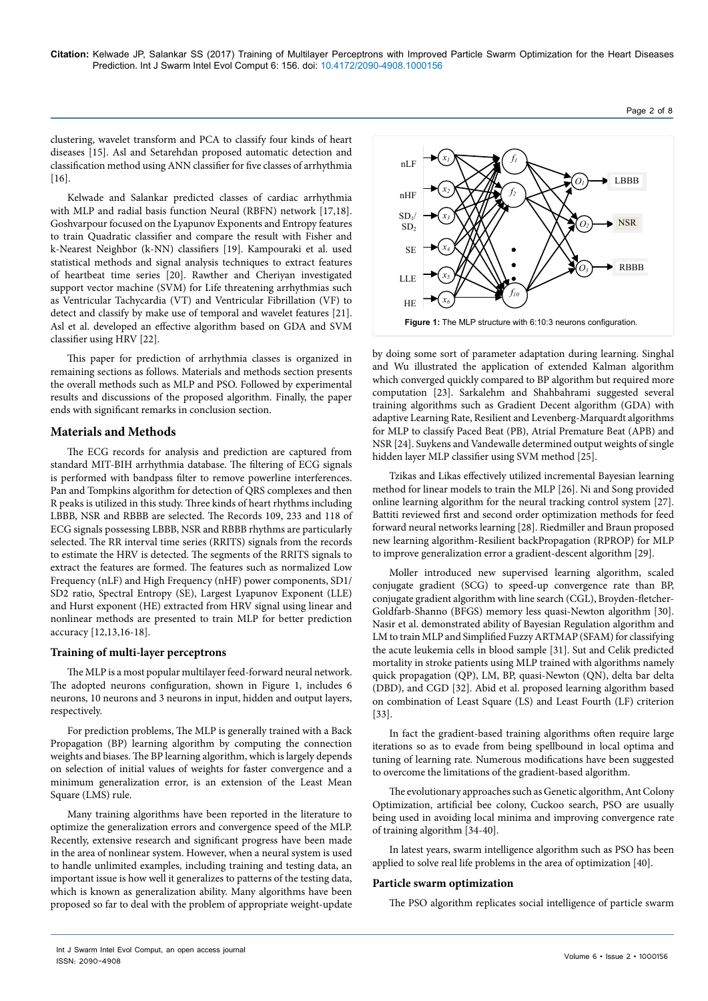clustering, wavelet transform and PCA to classify four kinds of heart diseases [15]. Asl and Setarehdan proposed automatic detection and classification method using ANN classifier for five classes of arrhythmia [16].

Kelwade and Salankar predicted classes of cardiac arrhythmia with MLP and radial basis function Neural (RBFN) network [17,18]. Goshvarpour focused on the Lyapunov Exponents and Entropy features to train Quadratic classifier and compare the result with Fisher and k-Nearest Neighbor (k-NN) classifiers [19]. Kampouraki et al. used statistical methods and signal analysis techniques to extract features of heartbeat time series [20]. Rawther and Cheriyan investigated support vector machine (SVM) for Life threatening arrhythmias such as Ventricular Tachycardia (VT) and Ventricular Fibrillation (VF) to detect and classify by make use of temporal and wavelet features [21]. Asl et al. developed an effective algorithm based on GDA and SVM classifier using HRV [22].

This paper for prediction of arrhythmia classes is organized in remaining sections as follows. Materials and methods section presents the overall methods such as MLP and PSO. Followed by experimental results and discussions of the proposed algorithm. Finally, the paper ends with significant remarks in conclusion section.

## **Materials and Methods**

The ECG records for analysis and prediction are captured from standard MIT-BIH arrhythmia database. The filtering of ECG signals is performed with bandpass filter to remove powerline interferences. Pan and Tompkins algorithm for detection of QRS complexes and then R peaks is utilized in this study. Three kinds of heart rhythms including LBBB, NSR and RBBB are selected. The Records 109, 233 and 118 of ECG signals possessing LBBB, NSR and RBBB rhythms are particularly selected. The RR interval time series (RRITS) signals from the records to estimate the HRV is detected. The segments of the RRITS signals to extract the features are formed. The features such as normalized Low Frequency (nLF) and High Frequency (nHF) power components, SD1/ SD2 ratio, Spectral Entropy (SE), Largest Lyapunov Exponent (LLE) and Hurst exponent (HE) extracted from HRV signal using linear and nonlinear methods are presented to train MLP for better prediction accuracy [12,13,16-18].

## **Training of multi-layer perceptrons**

The MLP is a most popular multilayer feed-forward neural network. The adopted neurons configuration, shown in Figure 1, includes 6 neurons, 10 neurons and 3 neurons in input, hidden and output layers, respectively.

For prediction problems, The MLP is generally trained with a Back Propagation (BP) learning algorithm by computing the connection weights and biases. The BP learning algorithm, which is largely depends on selection of initial values of weights for faster convergence and a minimum generalization error, is an extension of the Least Mean Square (LMS) rule.

Many training algorithms have been reported in the literature to optimize the generalization errors and convergence speed of the MLP. Recently, extensive research and significant progress have been made in the area of nonlinear system. However, when a neural system is used to handle unlimited examples, including training and testing data, an important issue is how well it generalizes to patterns of the testing data, which is known as generalization ability. Many algorithms have been proposed so far to deal with the problem of appropriate weight-update



by doing some sort of parameter adaptation during learning. Singhal and Wu illustrated the application of extended Kalman algorithm which converged quickly compared to BP algorithm but required more computation [23]. Sarkalehm and Shahbahrami suggested several training algorithms such as Gradient Decent algorithm (GDA) with adaptive Learning Rate, Resilient and Levenberg-Marquardt algorithms for MLP to classify Paced Beat (PB), Atrial Premature Beat (APB) and NSR [24]. Suykens and Vandewalle determined output weights of single hidden layer MLP classifier using SVM method [25].

Tzikas and Likas effectively utilized incremental Bayesian learning method for linear models to train the MLP [26]. Ni and Song provided online learning algorithm for the neural tracking control system [27]. [Battiti](https://www.researchgate.net/profile/Roberto_Battiti) reviewed first and second order optimization methods for feed forward neural networks learning [28]. Riedmiller and Braun proposed new learning algorithm-Resilient backPropagation (RPROP) for MLP to improve generalization error a gradient-descent algorithm [29].

Moller introduced new supervised learning algorithm, scaled conjugate gradient (SCG) to speed-up convergence rate than BP, conjugate gradient algorithm with line search (CGL), Broyden-fletcher-Goldfarb-Shanno (BFGS) memory less quasi-Newton algorithm [30]. Nasir et al. demonstrated ability of Bayesian Regulation algorithm and LM to train MLP and Simplified Fuzzy ARTMAP (SFAM) for classifying the acute leukemia cells in blood sample [31]. Sut and Celik predicted mortality in stroke patients using MLP trained with algorithms namely quick propagation (QP), LM, BP, quasi-Newton (QN), delta bar delta (DBD), and CGD [32]. Abid et al. proposed learning algorithm based on combination of Least Square (LS) and Least Fourth (LF) criterion [33].

In fact the gradient-based training algorithms often require large iterations so as to evade from being spellbound in local optima and tuning of learning rate. Numerous modifications have been suggested to overcome the limitations of the gradient-based algorithm.

The evolutionary approaches such as Genetic algorithm, Ant Colony Optimization, artificial bee colony, Cuckoo search, PSO are usually being used in avoiding local minima and improving convergence rate of training algorithm [34-40].

In latest years, swarm intelligence algorithm such as PSO has been applied to solve real life problems in the area of optimization [40].

## **Particle swarm optimization**

The PSO algorithm replicates social intelligence of particle swarm

Page 2 of 8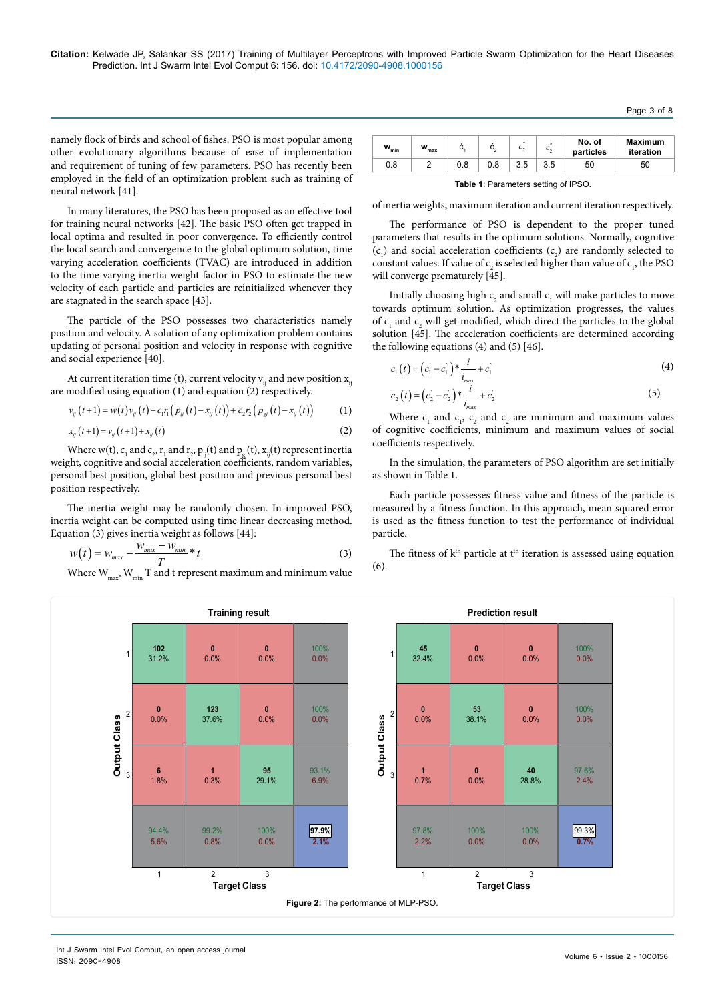Page 3 of 8

namely flock of birds and school of fishes. PSO is most popular among other evolutionary algorithms because of ease of implementation and requirement of tuning of few parameters. PSO has recently been employed in the field of an optimization problem such as training of neural network [41].

In many literatures, the PSO has been proposed as an effective tool for training neural networks [42]. The basic PSO often get trapped in local optima and resulted in poor convergence. To efficiently control the local search and convergence to the global optimum solution, time varying acceleration coefficients (TVAC) are introduced in addition to the time varying inertia weight factor in PSO to estimate the new velocity of each particle and particles are reinitialized whenever they are stagnated in the search space [43].

The particle of the PSO possesses two characteristics namely position and velocity. A solution of any optimization problem contains updating of personal position and velocity in response with cognitive and social experience [40].

At current iteration time (t), current velocity  $v_{ii}$  and new position  $x_{ii}$ are modified using equation  $(1)$  and equation  $(2)$  respectively.

$$
v_{ij}(t+1) = w(t)v_{ij}(t) + c_1r_1(p_{ij}(t) - x_{ij}(t)) + c_2r_2(p_{ij}(t) - x_{ij}(t))
$$
 (1)

$$
x_{ij}(t+1) = v_{ij}(t+1) + x_{ij}(t)
$$
 (2)

Where w(t),  $c_1$  and  $c_2$ ,  $r_1$  and  $r_2$ ,  $p_{ij}(t)$  and  $p_{gi}(t)$ ,  $x_{ij}(t)$  represent inertia weight, cognitive and social acceleration coefficients, random variables, personal best position, global best position and previous personal best position respectively.

The inertia weight may be randomly chosen. In improved PSO, inertia weight can be computed using time linear decreasing method. Equation (3) gives inertia weight as follows [44]:

$$
w(t) = w_{max} - \frac{w_{max} - w_{min}}{T} * t
$$
 (3)

Where  $\boldsymbol{\mathrm{W}}_{\text{max}}, \boldsymbol{\mathrm{W}}_{\text{min}}$   $\boldsymbol{\mathrm{T}}$  and t represent maximum and minimum value

| w<br>'min | w<br>max | ັ   |     | $\theta$ | $^{\prime}$<br>ັ | No. of<br>particles | <b>Maximum</b><br>iteration |
|-----------|----------|-----|-----|----------|------------------|---------------------|-----------------------------|
| 0.8       |          | 0.8 | 0.8 | 3.5      | 3.5              | 50                  | 50                          |

**Table 1**: Parameters setting of IPSO.

of inertia weights, maximum iteration and current iteration respectively.

The performance of PSO is dependent to the proper tuned parameters that results in the optimum solutions. Normally, cognitive  $(c_1)$  and social acceleration coefficients  $(c_2)$  are randomly selected to constant values. If value of  $c_2$  is selected higher than value of  $c_1$ , the PSO will converge prematurely [45].

Initially choosing high  $c_2$  and small  $c_1$  will make particles to move towards optimum solution. As optimization progresses, the values of  $c_1$  and  $c_2$  will get modified, which direct the particles to the global solution [45]. The acceleration coefficients are determined according the following equations  $(4)$  and  $(5)$   $[46]$ .

$$
c_1(t) = (c_1^{'} - c_1^{''})^* \frac{i}{i_{max}} + c_1^{''}
$$
 (4)

$$
c_2(t) = (c_2^{'} - c_2^{''})^* \frac{i}{i_{max}} + c_2^{''}
$$
 (5)

Where  $c_1$  and  $c_1$ ,  $c_2$  and  $c_2$  are minimum and maximum values of cognitive coefficients, minimum and maximum values of social coefficients respectively.

In the simulation, the parameters of PSO algorithm are set initially as shown in Table 1.

Each particle possesses fitness value and fitness of the particle is measured by a fitness function. In this approach, mean squared error is used as the fitness function to test the performance of individual particle.

The fitness of  $k<sup>th</sup>$  particle at  $t<sup>th</sup>$  iteration is assessed using equation (6).



Int J Swarm Intel Evol Comput, an open access journal ISSN: 2090-4908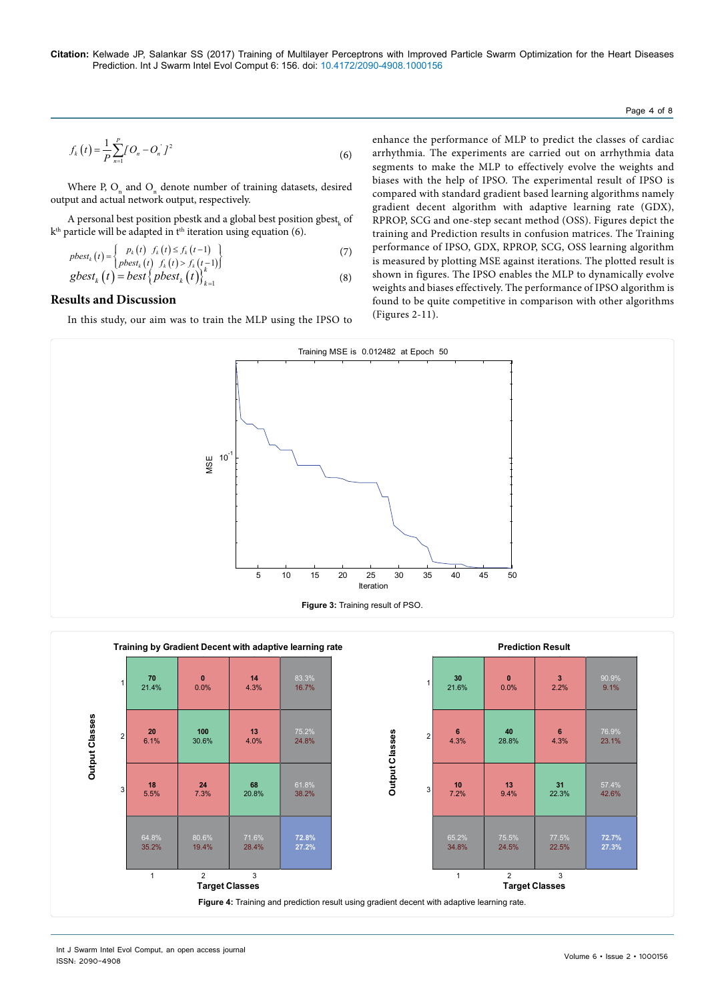#### Page 4 of 8

$$
f_k(t) = \frac{1}{P} \sum_{n=1}^{P} [O_n - O_n] t^2
$$
 (6)

Where P,  $O_n$  and  $O_n$  denote number of training datasets, desired output and actual network output, respectively.

A personal best position pbestk and a global best position  ${\rm ghost}_{{\rm k}}$  of k<sup>th</sup> particle will be adapted in t<sup>th</sup> iteration using equation (6).

$$
pbest_k(t) = \begin{cases} p_k(t) & f_k(t) \le f_k(t-1) \\ pbest_k(t) & f_k(t) > f_k(t-1) \end{cases}
$$
\n(7)

$$
gbest_k(t) = best\left\{ pbest_k(t) \right\}_{k=1}^{k(t) > j_k(t)} \tag{8}
$$

## **Results and Discussion**

In this study, our aim was to train the MLP using the IPSO to

enhance the performance of MLP to predict the classes of cardiac arrhythmia. The experiments are carried out on arrhythmia data segments to make the MLP to effectively evolve the weights and biases with the help of IPSO. The experimental result of IPSO is compared with standard gradient based learning algorithms namely gradient decent algorithm with adaptive learning rate (GDX), RPROP, SCG and one-step secant method (OSS). Figures depict the training and Prediction results in confusion matrices. The Training performance of IPSO, GDX, RPROP, SCG, OSS learning algorithm is measured by plotting MSE against iterations. The plotted result is shown in figures. The IPSO enables the MLP to dynamically evolve weights and biases effectively. The performance of IPSO algorithm is found to be quite competitive in comparison with other algorithms (Figures 2-11).



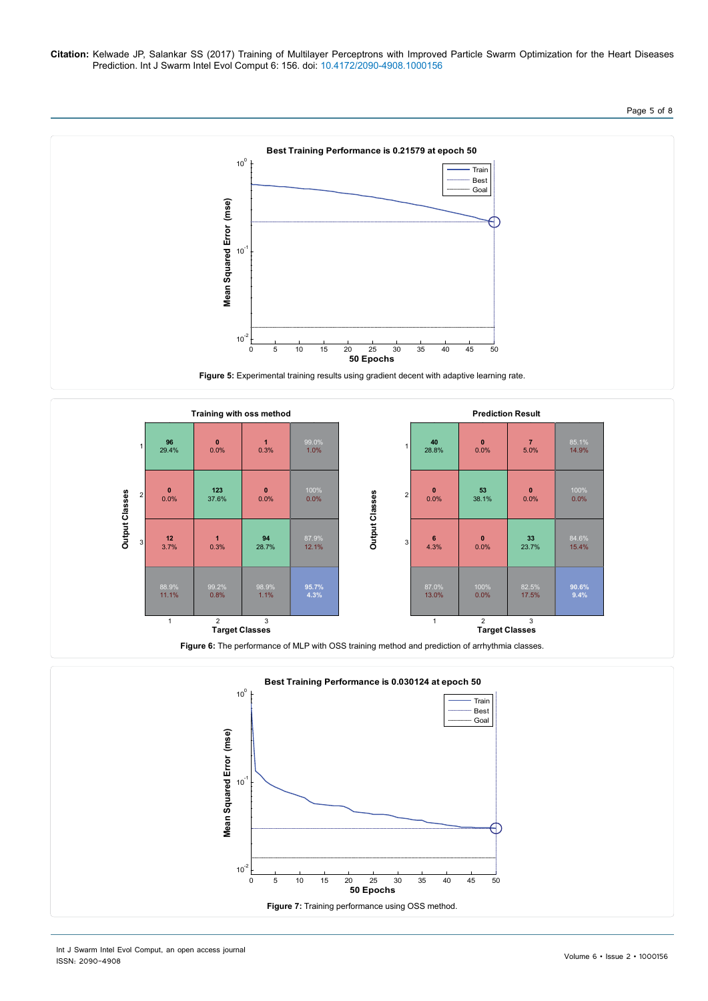## Page 5 of 8





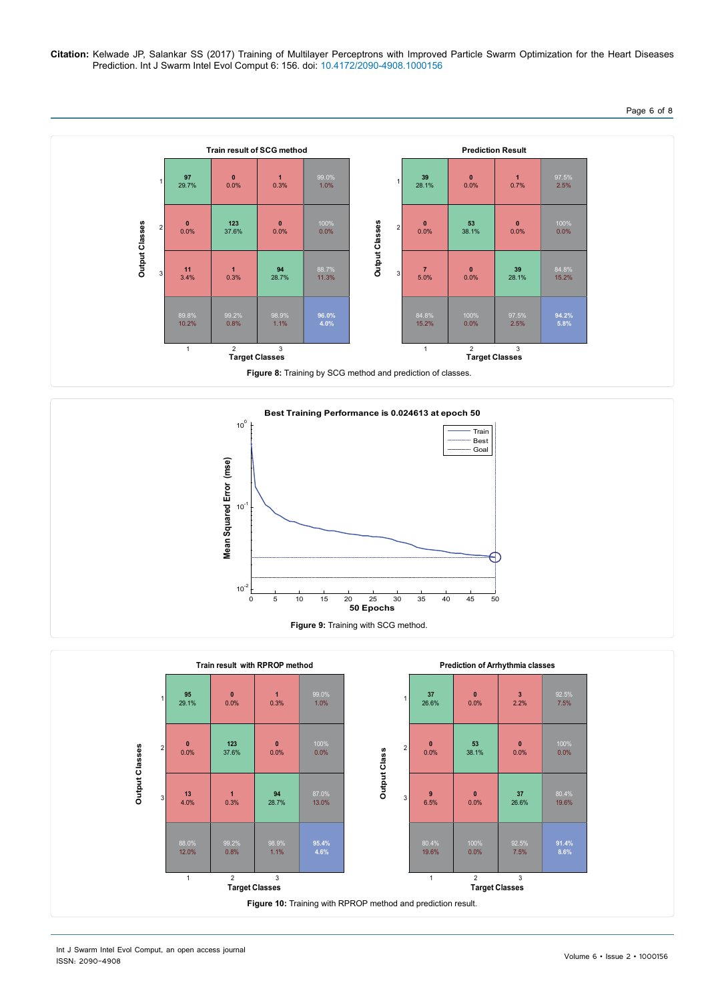## Page 6 of 8





![](_page_5_Figure_4.jpeg)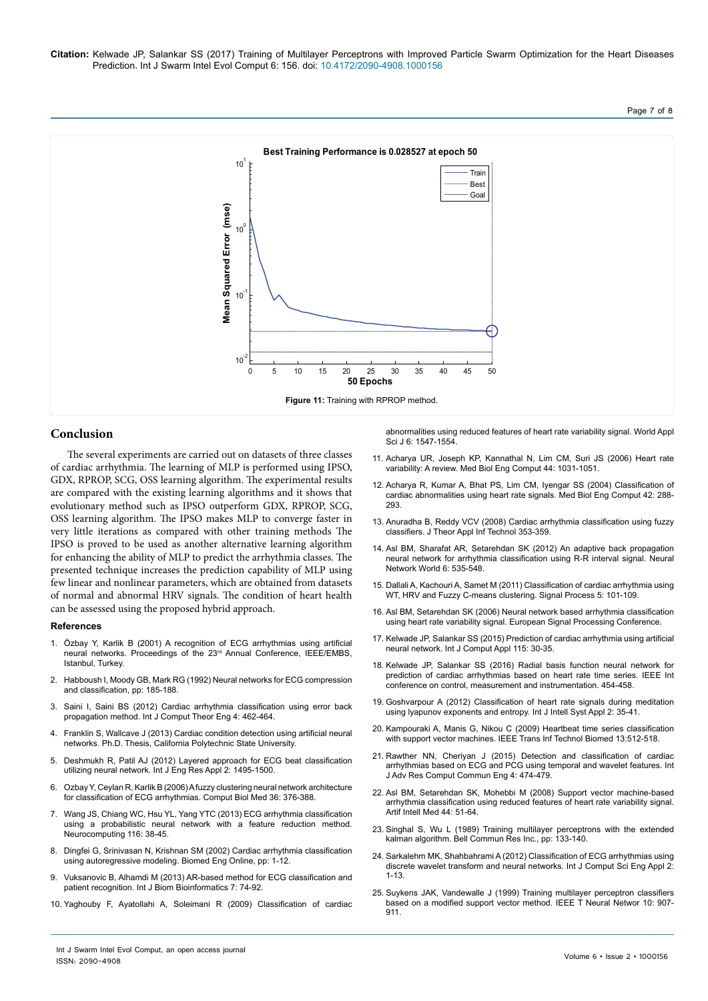![](_page_6_Figure_2.jpeg)

## **Conclusion**

The several experiments are carried out on datasets of three classes of cardiac arrhythmia. The learning of MLP is performed using IPSO, GDX, RPROP, SCG, OSS learning algorithm. The experimental results are compared with the existing learning algorithms and it shows that evolutionary method such as IPSO outperform GDX, RPROP, SCG, OSS learning algorithm. The IPSO makes MLP to converge faster in very little iterations as compared with other training methods The IPSO is proved to be used as another alternative learning algorithm for enhancing the ability of MLP to predict the arrhythmia classes. The presented technique increases the prediction capability of MLP using few linear and nonlinear parameters, which are obtained from datasets of normal and abnormal HRV signals. The condition of heart health can be assessed using the proposed hybrid approach.

#### **References**

- 1. [Özbay Y, Karlik B \(2001\) A recognition of ECG arrhythmias using artificial](https://pdfs.semanticscholar.org/f414/117f187aecf9483c332102c95f82f35814cd.pdf) [neural networks. Proceedings of the 23rd Annual Conference, IEEE/EMBS,](https://pdfs.semanticscholar.org/f414/117f187aecf9483c332102c95f82f35814cd.pdf) [Istanbul, Turkey.](https://pdfs.semanticscholar.org/f414/117f187aecf9483c332102c95f82f35814cd.pdf)
- 2. [Habboush I, Moody GB, Mark RG \(1992\) Neural networks for ECG compression](http://ecg.mit.edu/george/publications/habboush-cinc-1991.pdf) [and classification, pp: 185-188.](http://ecg.mit.edu/george/publications/habboush-cinc-1991.pdf)
- 3. [Saini I, Saini BS \(2012\) Cardiac arrhythmia classification using error back](http://www.ijcte.org/papers/508-G1354.pdf) [propagation method. Int J Comput Theor Eng 4: 462-464.](http://www.ijcte.org/papers/508-G1354.pdf)
- 4. Franklin S, Wallcave J (2013) Cardiac condition detection using artificial neural networks. Ph.D. Thesis, California Polytechnic State University.
- 5. [Deshmukh R, Patil AJ \(2012\) Layered approach for ECG beat classification](https://pdfs.semanticscholar.org/1e61/eaff92ce38fc1bc8143cf27d9ce4b9ca3f16.pdf) [utilizing neural network. Int J Eng Res Appl 2: 1495-1500.](https://pdfs.semanticscholar.org/1e61/eaff92ce38fc1bc8143cf27d9ce4b9ca3f16.pdf)
- 6. [Ozbay Y, Ceylan R, Karlik B \(2006\) A fuzzy clustering neural network architecture](https://pdfs.semanticscholar.org/2ca2/24cdefde0ad6a5d0fde40710b7aecfa2b1a9.pdf) [for classification of ECG arrhythmias. Comput Biol Med 36: 376-388.](https://pdfs.semanticscholar.org/2ca2/24cdefde0ad6a5d0fde40710b7aecfa2b1a9.pdf)
- 7. Wang JS, Chiang WC, Hsu YL, Yang YTC (2013) ECG arrhythmia classification using a probabilistic neural network with a feature reduction method. Neurocomputing 116: 38-45.
- 8. [Dingfei G, Srinivasan N, Krishnan SM \(2002\) Cardiac arrhythmia classification](https://doi.org/10.1186/1475-925X-1-5) [using autoregressive modeling.](https://doi.org/10.1186/1475-925X-1-5) Biomed Eng Online, pp: 1-12.
- 9. [Vuksanovic B, Alhamdi M \(2013\) AR-based method for ECG classification and](http://www.cscjournals.org/manuscript/Journals/IJBB/Volume7/Issue2/IJBB-215.pdf) [patient recognition. Int J Biom Bioinformatics 7: 74-92.](http://www.cscjournals.org/manuscript/Journals/IJBB/Volume7/Issue2/IJBB-215.pdf)
- 10. [Yaghouby F, Ayatollahi A, Soleimani R \(2009\) Classification of cardiac](http://www.idosi.org/wasj/wasj6(11)/15.pdf)

[abnormalities using reduced features of heart rate variability signal. World Appl](http://www.idosi.org/wasj/wasj6(11)/15.pdf)  [Sci J 6: 1547-1554.](http://www.idosi.org/wasj/wasj6(11)/15.pdf)

- 11. [Acharya UR, Joseph KP, Kannathal N, Lim CM, Suri JS \(2006\) Heart rate](https://doi.org/10.1007/s11517-006-0119-0)  [variability: A review. Med Biol Eng Comput 44: 1031-1051.](https://doi.org/10.1007/s11517-006-0119-0)
- 12. Acharya R, Kumar A, Bhat PS, Lim CM, Iyengar SS (2004) Classification of cardiac abnormalities using heart rate signals. Med Biol Eng Comput 42: 288- 293.
- 13. [Anuradha B, Reddy VCV \(2008\) Cardiac arrhythmia classification using fuzzy](http://www.jatit.org/volumes/research-papers/Vol4No4/10vol4no4.pdf)  [classifiers. J Theor Appl Inf Technol 353-359.](http://www.jatit.org/volumes/research-papers/Vol4No4/10vol4no4.pdf)
- 14. [Asl BM, Sharafat AR, Setarehdan SK \(2012\) An adaptive back propagation](https://doi.org/10.14311/NNW.2012.22.033)  [neural network for arrhythmia classification using R-R interval signal.](https://doi.org/10.14311/NNW.2012.22.033) Neural [Network World 6: 535-548.](https://doi.org/10.14311/NNW.2012.22.033)
- 15. [Dallali A, Kachouri A, Samet M \(2011\) Classification of cardiac arrhythmia using](http://www.cscjournals.org/manuscript/Journals/SPIJ/Volume5/Issue3/SPIJ-139.pdf)  [WT, HRV and Fuzzy C-means clustering. Signal Process 5: 101-109.](http://www.cscjournals.org/manuscript/Journals/SPIJ/Volume5/Issue3/SPIJ-139.pdf)
- 16. Asl BM, Setarehdan SK (2006) Neural network based arrhythmia classification using heart rate variability signal. European Signal Processing Conference.
- 17. [Kelwade JP, Salankar SS \(2015\) Prediction of cardiac arrhythmia using artificial](http://dx.doi.org/10.5120/20270-2679)  [neural network. Int J Comput Appl](http://dx.doi.org/10.5120/20270-2679) 115: 30-35.
- 18. Kelwade JP, Salankar SS (2016) Radial basis function neural network for prediction of cardiac arrhythmias based on heart rate time series. IEEE Int conference on control, measurement and instrumentation. 454-458.
- 19. [Goshvarpour A \(2012\) Classification of heart rate signals during meditation](http://www.mecs-press.org/ijisa/ijisa-v4-n2/IJISA-V4-N2-4.pdf)  [using lyapunov exponents and entropy.](http://www.mecs-press.org/ijisa/ijisa-v4-n2/IJISA-V4-N2-4.pdf) Int J Intell Syst Appl 2: 35-41.
- 20. [Kampouraki A, Manis G, Nikou C \(2009\) Heartbeat time series classification](http://dx.doi.org/10.1109/TITB.2008.2003323)  [with support vector machines. IEEE Trans Inf Technol Biomed 13:512-518.](http://dx.doi.org/10.1109/TITB.2008.2003323)
- 21. [Rawther NN, Cheriyan J \(2015\) Detection and classification of cardiac](http://www.ijarcce.com/upload/2015/april-15/IJARCCE 108.pdf)  [arrhythmias based on ECG and PCG using temporal and wavelet features.](http://www.ijarcce.com/upload/2015/april-15/IJARCCE 108.pdf) Int [J Adv Res Comput Commun Eng 4: 474-479.](http://www.ijarcce.com/upload/2015/april-15/IJARCCE 108.pdf)
- 22. [Asl BM, Setarehdan SK, Mohebbi M \(2008\) Support vector machine-based](https://doi.org/10.1016/j.artmed.2008.04.007)  [arrhythmia classification using reduced features of heart rate variability signal.](https://doi.org/10.1016/j.artmed.2008.04.007)  [Artif Intell Med 44: 51-64.](https://doi.org/10.1016/j.artmed.2008.04.007)
- 23. [Singhal S, Wu L \(1989\) Training multilayer perceptrons with the extended](https://papers.nips.cc/paper/101-training-multilayer-perceptrons-with-the-extende-kalman-algorithm.pdf)  [kalman algorithm. Bell Commun Res Inc., pp: 133-140.](https://papers.nips.cc/paper/101-training-multilayer-perceptrons-with-the-extende-kalman-algorithm.pdf)
- 24. [Sarkalehm MK, Shahbahrami A \(2012\) Classification of ECG arrhythmias using](http://dx.doi.org/10.5121/ijcsea.2012.2101)  [discrete wavelet transform and neural networks. Int J Comput Sci Eng Appl 2:](http://dx.doi.org/10.5121/ijcsea.2012.2101)  [1-13.](http://dx.doi.org/10.5121/ijcsea.2012.2101)
- 25. [Suykens JAK, Vandewalle J \(1999\) Training multilayer perceptron classifiers](http://dx.doi.org/10.1109/72.774254)  [based on a modified support vector method. IEEE T Neural Networ 10: 907-](http://dx.doi.org/10.1109/72.774254) [911.](http://dx.doi.org/10.1109/72.774254)